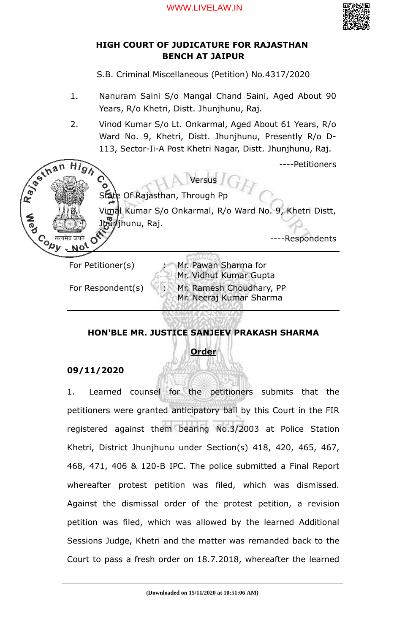

## **HIGH COURT OF JUDICATURE FOR RAJASTHAN BENCH AT JAIPUR**

S.B. Criminal Miscellaneous (Petition) No.4317/2020

- 1. Nanuram Saini S/o Mangal Chand Saini, Aged About 90 Years, R/o Khetri, Distt. Jhunjhunu, Raj.
- 2. Vinod Kumar S/o Lt. Onkarmal, Aged About 61 Years, R/o Ward No. 9, Khetri, Distt. Jhunjhunu, Presently R/o D-113, Sector-Ii-A Post Khetri Nagar, Distt. Jhunjhunu, Raj.



Mr. Vidhut Kumar Gupta For Respondent(s) Mr. Ramesh Choudhary, PP Mr. Neeraj Kumar Sharma

# **HON'BLE MR. JUSTICE SANJEEV PRAKASH SHARMA**

## **Order**

## **09/11/2020**

1. Learned counsel for the petitioners submits that the petitioners were granted anticipatory bail by this Court in the FIR registered against them bearing No.3/2003 at Police Station Khetri, District Jhunjhunu under Section(s) 418, 420, 465, 467, 468, 471, 406 & 120-B IPC. The police submitted a Final Report whereafter protest petition was filed, which was dismissed. Against the dismissal order of the protest petition, a revision petition was filed, which was allowed by the learned Additional Sessions Judge, Khetri and the matter was remanded back to the Court to pass a fresh order on 18.7.2018, whereafter the learned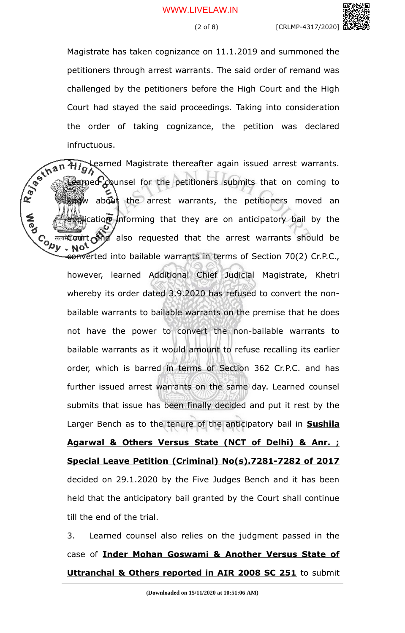Magistrate has taken cognizance on 11.1.2019 and summoned the petitioners through arrest warrants. The said order of remand was challenged by the petitioners before the High Court and the High Court had stayed the said proceedings. Taking into consideration the order of taking cognizance, the petition was declared

infructuous. **217.** Learned Magistrate thereafter again issued arrest warrants.  $\text{trace}$  counsel for the petitioners submits that on coming to **know** about the arrest warrants, the petitioners moved an **A**<br>Po pplication informing that they are on anticipatory bail by the Court and also requested that the arrest warrants should be<br>  $\mathcal{L}_{\mathcal{D}\mathcal{U}}$  . Not converted into bailable warrants in terms of Section 70(2) Cr.P.C., however, learned Additional Chief Judicial Magistrate, Khetri whereby its order dated 3.9.2020 has refused to convert the nonbailable warrants to bailable warrants on the premise that he does not have the power to convert the non-bailable warrants to bailable warrants as it would amount to refuse recalling its earlier order, which is barred in terms of Section 362 Cr.P.C. and has further issued arrest warrants on the same day. Learned counsel submits that issue has been finally decided and put it rest by the Larger Bench as to the tenure of the anticipatory bail in **Sushila Agarwal & Others Versus State (NCT of Delhi) & Anr. ; Special Leave Petition (Criminal) No(s).7281-7282 of 2017** decided on 29.1.2020 by the Five Judges Bench and it has been held that the anticipatory bail granted by the Court shall continue till the end of the trial.

> 3. Learned counsel also relies on the judgment passed in the case of **Inder Mohan Goswami & Another Versus State of Uttranchal & Others reported in AIR 2008 SC 251** to submit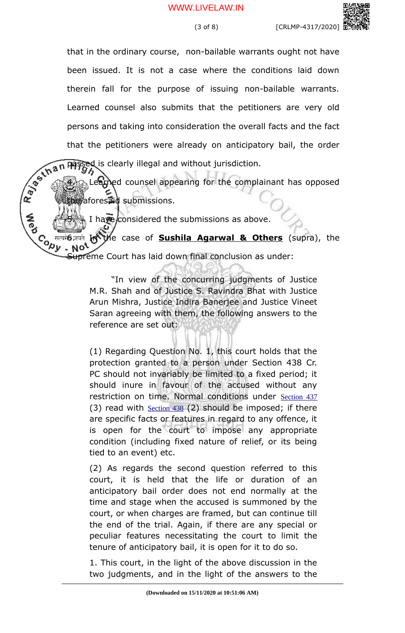### WWW.LIVELAW.IN

that in the ordinary course, non-bailable warrants ought not have been issued. It is not a case where the conditions laid down therein fall for the purpose of issuing non-bailable warrants. Learned counsel also submits that the petitioners are very old persons and taking into consideration the overall facts and the fact

ed is clearly illegal and without jurisdiction.

that the petitioners were already on anticipatory bail, the order<br> $\frac{1}{2}$ <br> $\frac{1}{2}$ <br> $\frac{1}{2}$ <br> $\frac{1}{2}$ <br> $\frac{1}{2}$ <br> $\frac{1}{2}$ <br> $\frac{1}{2}$ <br> $\frac{1}{2}$ <br> $\frac{1}{2}$ <br> $\frac{1}{2}$ <br> $\frac{1}{2}$ <br> $\frac{1}{2}$ <br> $\frac{1}{2}$ <br> $\frac{1}{2}$ <br> $\frac{1}{2}$ <br> $\frac{1$ Learned counsel appearing for the complainant has opposed the aforesaid submissions.

I have considered the submissions as above.

Co <sup>सत्यमे</sup> 5 and 10<sup>6</sup> the case of **Sushila Agarwal & Others** (supra), the

Supreme Court has laid down final conclusion as under:

"In view of the concurring judgments of Justice M.R. Shah and of Justice S. Ravindra Bhat with Justice Arun Mishra, Justice Indira Banerjee and Justice Vineet Saran agreeing with them, the following answers to the reference are set out:

(1) Regarding Question No. 1, this court holds that the protection granted to a person under Section 438 Cr. PC should not invariably be limited to a fixed period; it should inure in favour of the accused without any restriction on time. Normal conditions under Section 437 (3) read with  $Section 438$  (2) should be imposed; if there are specific facts or features in regard to any offence, it is open for the court to impose any appropriate condition (including fixed nature of relief, or its being tied to an event) etc.

(2) As regards the second question referred to this court, it is held that the life or duration of an anticipatory bail order does not end normally at the time and stage when the accused is summoned by the court, or when charges are framed, but can continue till the end of the trial. Again, if there are any special or peculiar features necessitating the court to limit the tenure of anticipatory bail, it is open for it to do so.

1. This court, in the light of the above discussion in the two judgments, and in the light of the answers to the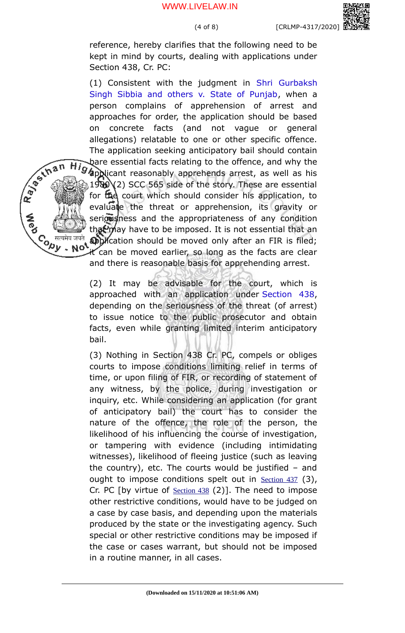reference, hereby clarifies that the following need to be kept in mind by courts, dealing with applications under Section 438, Cr. PC:

(1) Consistent with the judgment in Shri Gurbaksh Singh Sibbia and others v. State of Punjab, when a person complains of apprehension of arrest and approaches for order, the application should be based on concrete facts (and not vague or general allegations) relatable to one or other specific offence. The application seeking anticipatory bail should contain bare essential facts relating to the offence, and why the  $\mathcal{G}_{\text{app}}$  and  $\mathcal{G}_{\text{app}}$  apprehends arrest, as well as his  $1980(2)$  SCC 565 side of the story. These are essential for the court which should consider his application, to evaluate the threat or apprehension, its gravity or seriousness and the appropriateness of any condition that may have to be imposed. It is not essential that an Contra de Contra de Contra de Contra de Contra de Contra de Contra de Contra de Contra de Contra de Contra de Contra de Contra de Contra de Contra de Contra de Contra de Contra de Contra de Contra de Contra de Contra de Co application should be moved only after an FIR is filed; it can be moved earlier, so long as the facts are clear and there is reasonable basis for apprehending arrest.

Rayton's

(2) It may be advisable for the court, which is approached with an application under Section 438, depending on the seriousness of the threat (of arrest) to issue notice to the public prosecutor and obtain facts, even while granting limited interim anticipatory bail.

(3) Nothing in Section 438 Cr. PC, compels or obliges courts to impose conditions limiting relief in terms of time, or upon filing of FIR, or recording of statement of any witness, by the police, during investigation or inquiry, etc. While considering an application (for grant of anticipatory bail) the court has to consider the nature of the offence, the role of the person, the likelihood of his influencing the course of investigation, or tampering with evidence (including intimidating witnesses), likelihood of fleeing justice (such as leaving the country), etc. The courts would be justified  $-$  and ought to impose conditions spelt out in **Section 437** (3), Cr. PC [by virtue of Section 438 (2)]. The need to impose other restrictive conditions, would have to be judged on a case by case basis, and depending upon the materials produced by the state or the investigating agency. Such special or other restrictive conditions may be imposed if the case or cases warrant, but should not be imposed in a routine manner, in all cases.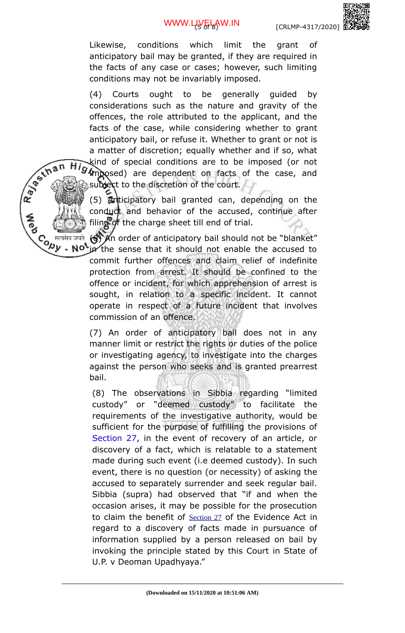[CRLMP-4317/2020]

Likewise, conditions which limit the grant of anticipatory bail may be granted, if they are required in the facts of any case or cases; however, such limiting conditions may not be invariably imposed.

(4) Courts ought to be generally guided by considerations such as the nature and gravity of the offences, the role attributed to the applicant, and the facts of the case, while considering whether to grant anticipatory bail, or refuse it. Whether to grant or not is a matter of discretion; equally whether and if so, what kind of special conditions are to be imposed (or not 94mposed) are dependent on facts of the case, and subject to the discretion of the court.  $\Box$ 

R. P. S. In a n

(5) Anticipatory bail granted can, depending on the conduct and behavior of the accused, continue after filing of the charge sheet till end of trial.

(6) An order of anticipatory bail should not be "blanket"

Co सत्यमेव जयते<br>Version Note in the sense that it should not enable the accused to commit further offences and claim relief of indefinite protection from arrest. It should be confined to the offence or incident, for which apprehension of arrest is sought, in relation to a specific incident. It cannot operate in respect of a future incident that involves commission of an offence.

> (7) An order of anticipatory bail does not in any manner limit or restrict the rights or duties of the police or investigating agency, to investigate into the charges against the person who seeks and is granted prearrest bail.

(8) The observations in Sibbia regarding "limited custody" or "deemed custody" to facilitate the requirements of the investigative authority, would be sufficient for the purpose of fulfilling the provisions of Section 27, in the event of recovery of an article, or discovery of a fact, which is relatable to a statement made during such event (i.e deemed custody). In such event, there is no question (or necessity) of asking the accused to separately surrender and seek regular bail. Sibbia (supra) had observed that "if and when the occasion arises, it may be possible for the prosecution to claim the benefit of **Section 27** of the Evidence Act in regard to a discovery of facts made in pursuance of information supplied by a person released on bail by invoking the principle stated by this Court in State of U.P. v Deoman Upadhyaya."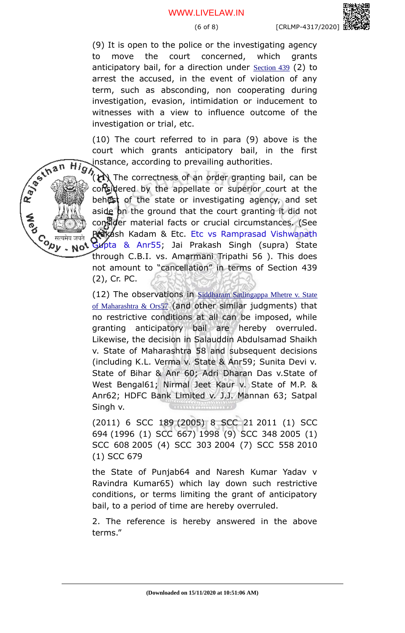(6 of 8) [CRLMP-4317/2020]

(9) It is open to the police or the investigating agency to move the court concerned, which grants anticipatory bail, for a direction under **Section 439** (2) to arrest the accused, in the event of violation of any term, such as absconding, non cooperating during investigation, evasion, intimidation or inducement to witnesses with a view to influence outcome of the investigation or trial, etc.

(10) The court referred to in para (9) above is the court which grants anticipatory bail, in the first instance, according to prevailing authorities.

Rayton in

No<sup>t</sup>

 $\mathcal{G}_\lambda$  The correctness of an order granting bail, can be considered by the appellate or superior court at the behest of the state or investigating agency, and set aside on the ground that the court granting it did not consider material facts or crucial circumstances. (See Prakash Kadam & Etc. Etc vs Ramprasad Vishwanath Gupta & Anr55; Jai Prakash Singh (supra) State

through C.B.I. vs. Amarmani Tripathi 56 ). This does not amount to "cancellation" in terms of Section 439 (2), Cr. PC.

(12) The observations in Siddharam Satlingappa Mhetre v. State of Maharashtra & Ors57 (and other similar judgments) that no restrictive conditions at all can be imposed, while granting anticipatory bail are hereby overruled. Likewise, the decision in Salauddin Abdulsamad Shaikh v. State of Maharashtra 58 and subsequent decisions (including K.L. Verma v. State & Anr59; Sunita Devi v. State of Bihar & Anr 60; Adri Dharan Das v.State of West Bengal61; Nirmal Jeet Kaur v. State of M.P. & Anr62; HDFC Bank Limited v. J.J. Mannan 63; Satpal Singh v.

(2011) 6 SCC 189 (2005) 8 SCC 21 2011 (1) SCC 694 (1996 (1) SCC 667) 1998 (9) SCC 348 2005 (1) SCC 608 2005 (4) SCC 303 2004 (7) SCC 558 2010 (1) SCC 679

the State of Punjab64 and Naresh Kumar Yadav v Ravindra Kumar65) which lay down such restrictive conditions, or terms limiting the grant of anticipatory bail, to a period of time are hereby overruled.

2. The reference is hereby answered in the above terms."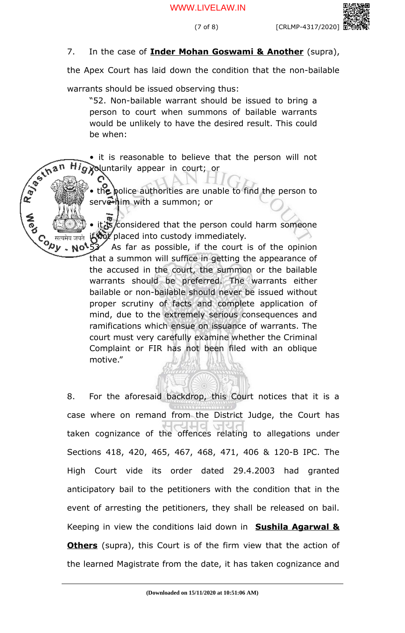## 7. In the case of **Inder Mohan Goswami & Another** (supra),

the Apex Court has laid down the condition that the non-bailable

warrants should be issued observing thus:

"52. Non-bailable warrant should be issued to bring a person to court when summons of bailable warrants would be unlikely to have the desired result. This could be when:

R. Januar • it is reasonable to believe that the person will not **g** yoluntarily appear in court; or

the police authorities are unable to find the person to serve him with a summon; or

it is considered that the person could harm someone if not placed into custody immediately.

Co *electrica displays procedured* contact the court is of the opinion COD . Not 53 As far as possible, if the court is of the opinion that a summon will suffice in getting the appearance of the accused in the court, the summon or the bailable warrants should be preferred. The warrants either bailable or non-bailable should never be issued without proper scrutiny of facts and complete application of mind, due to the extremely serious consequences and ramifications which ensue on issuance of warrants. The court must very carefully examine whether the Criminal Complaint or FIR has not been filed with an oblique motive."

8. For the aforesaid backdrop, this Court notices that it is a case where on remand from the District Judge, the Court has taken cognizance of the offences relating to allegations under Sections 418, 420, 465, 467, 468, 471, 406 & 120-B IPC. The High Court vide its order dated 29.4.2003 had granted anticipatory bail to the petitioners with the condition that in the event of arresting the petitioners, they shall be released on bail. Keeping in view the conditions laid down in **Sushila Agarwal & Others** (supra), this Court is of the firm view that the action of the learned Magistrate from the date, it has taken cognizance and